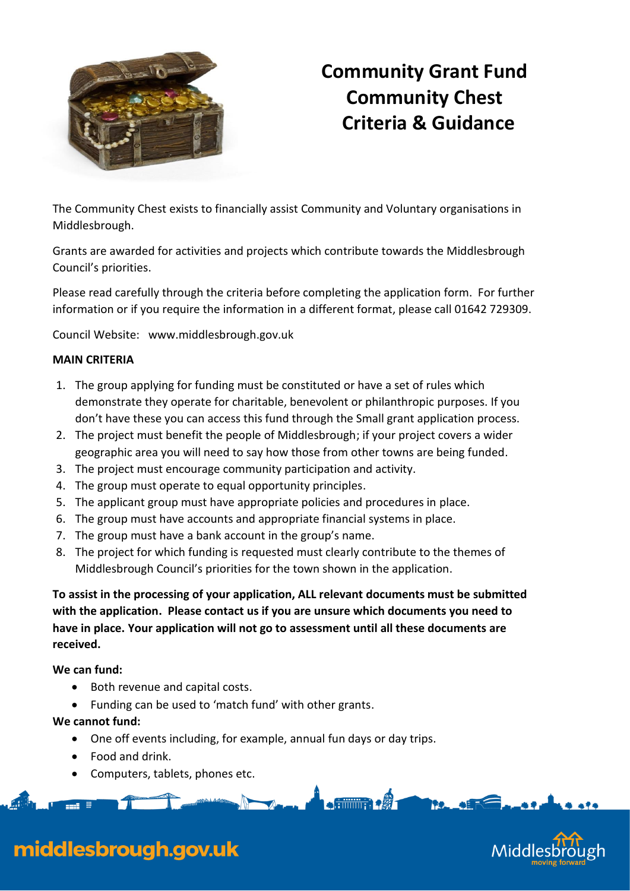

# **Community Grant Fund Community Chest Criteria & Guidance**

The Community Chest exists to financially assist Community and Voluntary organisations in Middlesbrough.

Grants are awarded for activities and projects which contribute towards the Middlesbrough Council's priorities.

Please read carefully through the criteria before completing the application form. For further information or if you require the information in a different format, please call 01642 729309.

Council Website: [www.middlesbrough.gov.uk](http://www.middlesbrough.gov.uk/)

## **MAIN CRITERIA**

- 1. The group applying for funding must be constituted or have a set of rules which demonstrate they operate for charitable, benevolent or philanthropic purposes. If you don't have these you can access this fund through the Small grant application process.
- 2. The project must benefit the people of Middlesbrough; if your project covers a wider geographic area you will need to say how those from other towns are being funded.
- 3. The project must encourage community participation and activity.
- 4. The group must operate to equal opportunity principles.
- 5. The applicant group must have appropriate policies and procedures in place.
- 6. The group must have accounts and appropriate financial systems in place.
- 7. The group must have a bank account in the group's name.
- 8. The project for which funding is requested must clearly contribute to the themes of Middlesbrough Council's priorities for the town shown in the application.

**To assist in the processing of your application, ALL relevant documents must be submitted with the application. Please contact us if you are unsure which documents you need to have in place. Your application will not go to assessment until all these documents are received.**

 $\bullet$  filling  $\bullet$   $\mathscr{B}$  -

#### **We can fund:**

- Both revenue and capital costs.
- Funding can be used to 'match fund' with other grants.

# **We cannot fund:**

One off events including, for example, annual fun days or day trips.

 $\sqrt{4-\frac{1}{2}}$ 

- Food and drink.
- Computers, tablets, phones etc.



# middlesbrough.gov.uk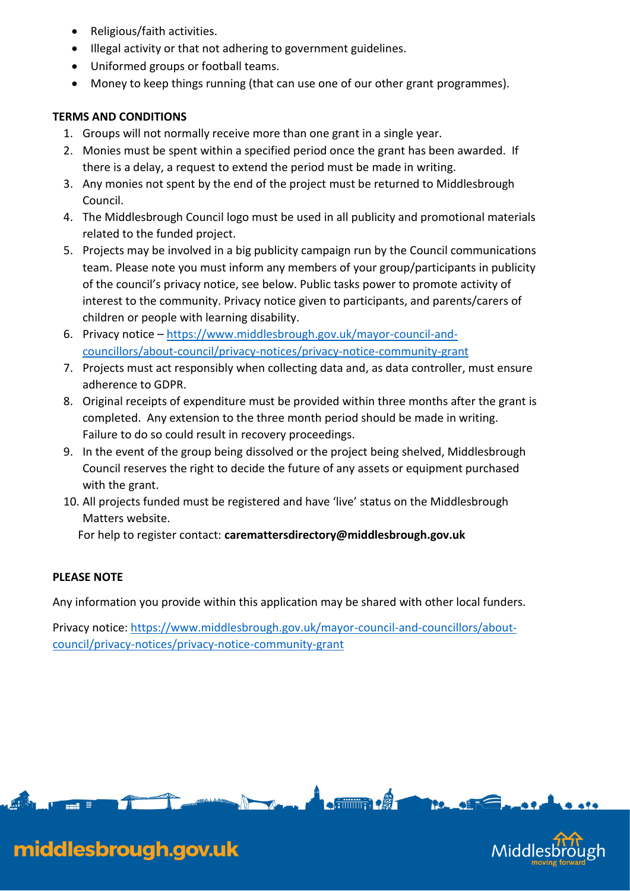- Religious/faith activities.
- Illegal activity or that not adhering to government guidelines.
- Uniformed groups or football teams.
- Money to keep things running (that can use one of our other grant programmes).

# **TERMS AND CONDITIONS**

- 1. Groups will not normally receive more than one grant in a single year.
- 2. Monies must be spent within a specified period once the grant has been awarded. If there is a delay, a request to extend the period must be made in writing.
- 3. Any monies not spent by the end of the project must be returned to Middlesbrough Council.
- 4. The Middlesbrough Council logo must be used in all publicity and promotional materials related to the funded project.
- 5. Projects may be involved in a big publicity campaign run by the Council communications team. Please note you must inform any members of your group/participants in publicity of the council's privacy notice, see below. Public tasks power to promote activity of interest to the community. Privacy notice given to participants, and parents/carers of children or people with learning disability.
- 6. Privacy notice [https://www.middlesbrough.gov.uk/mayor-council-and](https://www.middlesbrough.gov.uk/mayor-council-and-councillors/about-council/privacy-notices/privacy-notice-community-grant)[councillors/about-council/privacy-notices/privacy-notice-community-grant](https://www.middlesbrough.gov.uk/mayor-council-and-councillors/about-council/privacy-notices/privacy-notice-community-grant)
- 7. Projects must act responsibly when collecting data and, as data controller, must ensure adherence to GDPR.
- 8. Original receipts of expenditure must be provided within three months after the grant is completed. Any extension to the three month period should be made in writing. Failure to do so could result in recovery proceedings.
- 9. In the event of the group being dissolved or the project being shelved, Middlesbrough Council reserves the right to decide the future of any assets or equipment purchased with the grant.
- 10. All projects funded must be registered and have 'live' status on the Middlesbrough Matters website.

For help to register contact: **caremattersdirectory@middlesbrough.gov.uk**

# **PLEASE NOTE**

Any information you provide within this application may be shared with other local funders.

Privacy notice: [https://www.middlesbrough.gov.uk/mayor-council-and-councillors/about](https://www.middlesbrough.gov.uk/mayor-council-and-councillors/about-council/privacy-notices/privacy-notice-community-grant)[council/privacy-notices/privacy-notice-community-grant](https://www.middlesbrough.gov.uk/mayor-council-and-councillors/about-council/privacy-notices/privacy-notice-community-grant)